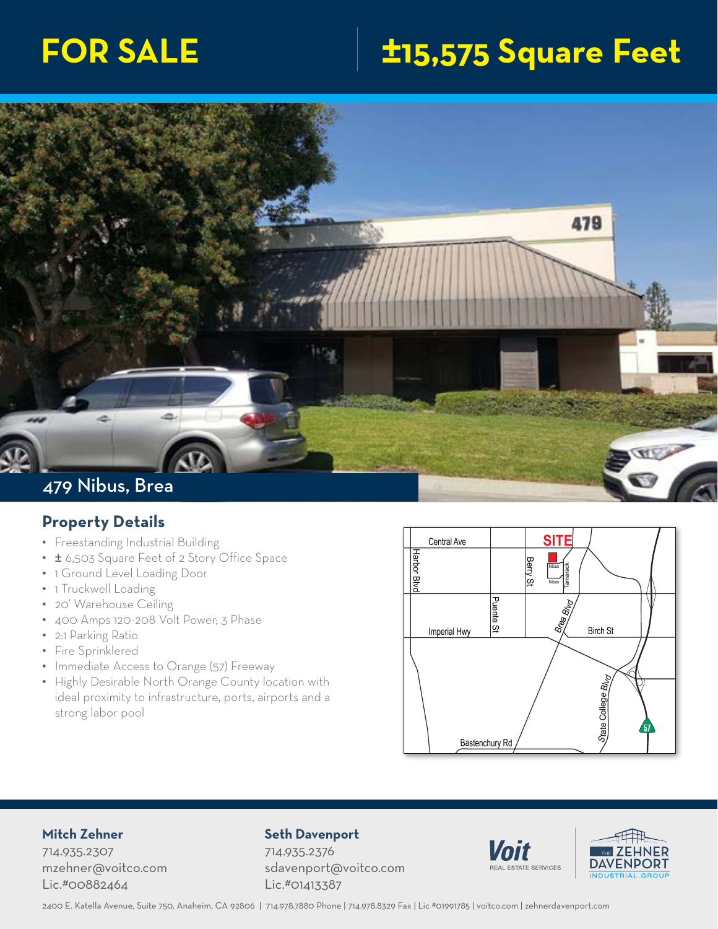# **FOR SALE ±15,575 Square Feet**



## **Property Details**

- Freestanding Industrial Building
- ± 6,503 Square Feet of 2 Story Office Space<br>• 1 Ground Level Loading Door
- 1 Ground Level Loading Door
- 1 Truckwell Loading
- 20' Warehouse Ceiling
- 400 Amps 120-208 Volt Power; 3 Phase
- 2:1 Parking Ratio
- Fire Sprinklered
- Immediate Access to Orange (57) Freeway
- Highly Desirable North Orange County location with ideal proximity to infrastructure, ports, airports and a strong labor pool



### **Mitch Zehner**

714.935.2307 mzehner@voitco.com Lic.#00882464

#### **Seth Davenport**

714.935.2376 sdavenport@voitco.com Lic.#01413387



rbor



Yo<sup>r</sup>ba Linda Blvd

2400 E. Katella Avenue, Suite 750, Anaheim, CA 92806 | 714.978.7880 Phone | 714.978.8329 Fax | Lic #01991785 | voitco.com | zehnerdavenport.com